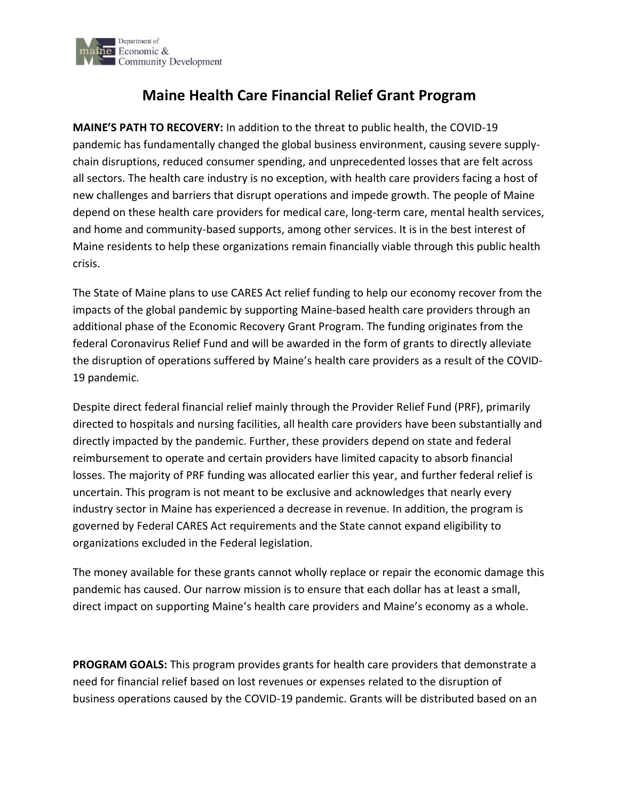

# **Maine Health Care Financial Relief Grant Program**

**MAINE'S PATH TO RECOVERY:** In addition to the threat to public health, the COVID-19 pandemic has fundamentally changed the global business environment, causing severe supplychain disruptions, reduced consumer spending, and unprecedented losses that are felt across all sectors. The health care industry is no exception, with health care providers facing a host of new challenges and barriers that disrupt operations and impede growth. The people of Maine depend on these health care providers for medical care, long-term care, mental health services, and home and community-based supports, among other services. It is in the best interest of Maine residents to help these organizations remain financially viable through this public health crisis.

The State of Maine plans to use CARES Act relief funding to help our economy recover from the impacts of the global pandemic by supporting Maine-based health care providers through an additional phase of the Economic Recovery Grant Program. The funding originates from the federal Coronavirus Relief Fund and will be awarded in the form of grants to directly alleviate the disruption of operations suffered by Maine's health care providers as a result of the COVID-19 pandemic.

Despite direct federal financial relief mainly through the Provider Relief Fund (PRF), primarily directed to hospitals and nursing facilities, all health care providers have been substantially and directly impacted by the pandemic. Further, these providers depend on state and federal reimbursement to operate and certain providers have limited capacity to absorb financial losses. The majority of PRF funding was allocated earlier this year, and further federal relief is uncertain. This program is not meant to be exclusive and acknowledges that nearly every industry sector in Maine has experienced a decrease in revenue. In addition, the program is governed by Federal CARES Act requirements and the State cannot expand eligibility to organizations excluded in the Federal legislation.

The money available for these grants cannot wholly replace or repair the economic damage this pandemic has caused. Our narrow mission is to ensure that each dollar has at least a small, direct impact on supporting Maine's health care providers and Maine's economy as a whole.

**PROGRAM GOALS:** This program provides grants for health care providers that demonstrate a need for financial relief based on lost revenues or expenses related to the disruption of business operations caused by the COVID-19 pandemic. Grants will be distributed based on an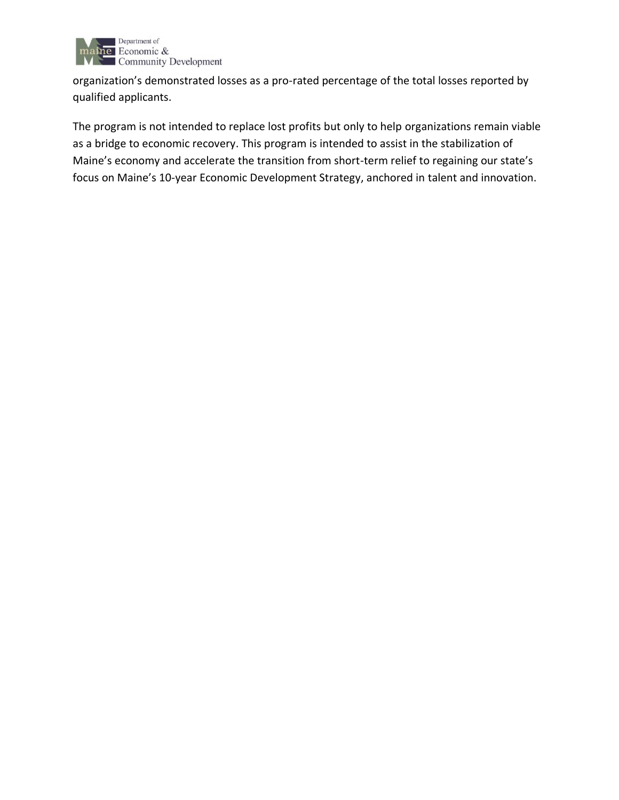

organization's demonstrated losses as a pro-rated percentage of the total losses reported by qualified applicants.

The program is not intended to replace lost profits but only to help organizations remain viable as a bridge to economic recovery. This program is intended to assist in the stabilization of Maine's economy and accelerate the transition from short-term relief to regaining our state's focus on Maine's 10-year Economic Development Strategy, anchored in talent and innovation.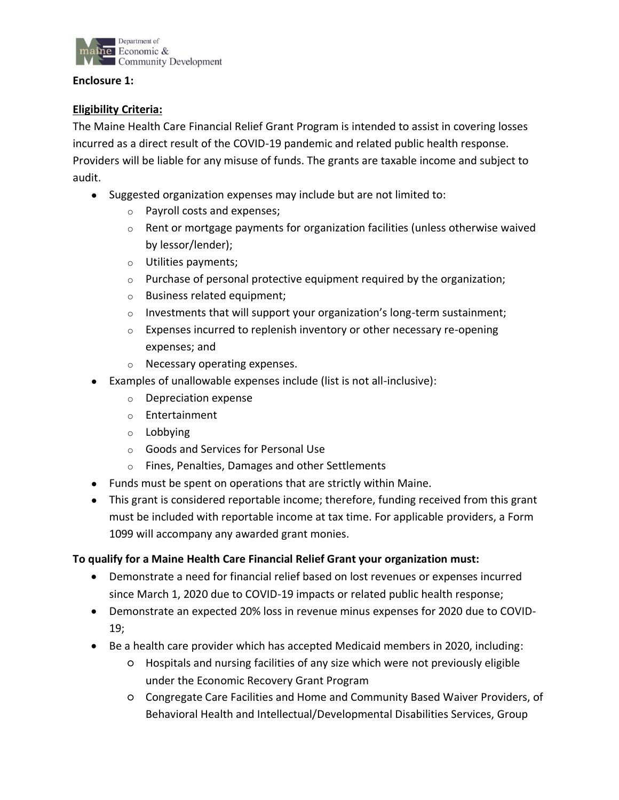

#### **Enclosure 1:**

### **Eligibility Criteria:**

The Maine Health Care Financial Relief Grant Program is intended to assist in covering losses incurred as a direct result of the COVID-19 pandemic and related public health response. Providers will be liable for any misuse of funds. The grants are taxable income and subject to audit.

- Suggested organization expenses may include but are not limited to:
	- o Payroll costs and expenses;
	- o Rent or mortgage payments for organization facilities (unless otherwise waived by lessor/lender);
	- o Utilities payments;
	- $\circ$  Purchase of personal protective equipment required by the organization;
	- o Business related equipment;
	- $\circ$  Investments that will support your organization's long-term sustainment;
	- o Expenses incurred to replenish inventory or other necessary re-opening expenses; and
	- o Necessary operating expenses.
- Examples of unallowable expenses include (list is not all-inclusive):
	- o Depreciation expense
	- o Entertainment
	- o Lobbying
	- o Goods and Services for Personal Use
	- o Fines, Penalties, Damages and other Settlements
- Funds must be spent on operations that are strictly within Maine.
- This grant is considered reportable income; therefore, funding received from this grant must be included with reportable income at tax time. For applicable providers, a Form 1099 will accompany any awarded grant monies.

### **To qualify for a Maine Health Care Financial Relief Grant your organization must:**

- Demonstrate a need for financial relief based on lost revenues or expenses incurred since March 1, 2020 due to COVID-19 impacts or related public health response;
- Demonstrate an expected 20% loss in revenue minus expenses for 2020 due to COVID-19;
- Be a health care provider which has accepted Medicaid members in 2020, including:
	- Hospitals and nursing facilities of any size which were not previously eligible under the Economic Recovery Grant Program
	- Congregate Care Facilities and Home and Community Based Waiver Providers, of Behavioral Health and Intellectual/Developmental Disabilities Services, Group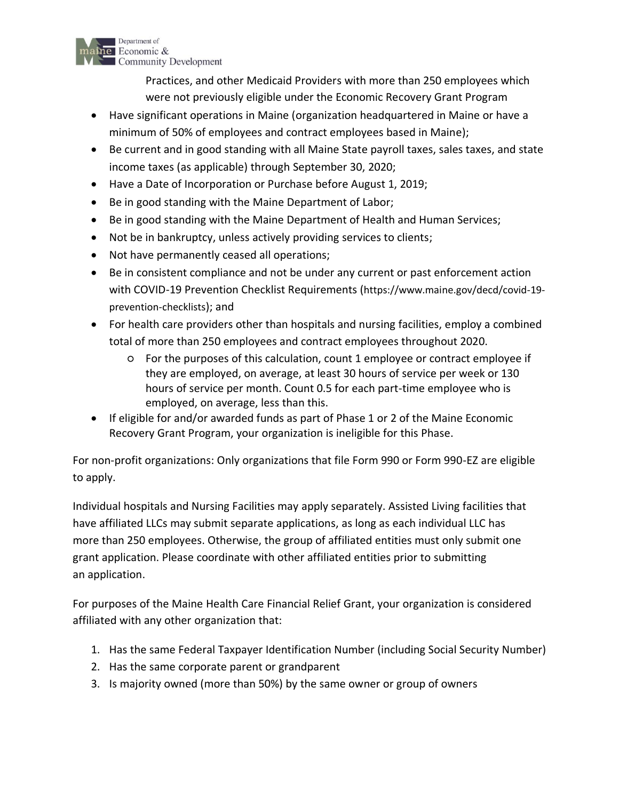

Practices, and other Medicaid Providers with more than 250 employees which were not previously eligible under the Economic Recovery Grant Program

- Have significant operations in Maine (organization headquartered in Maine or have a minimum of 50% of employees and contract employees based in Maine);
- Be current and in good standing with all Maine State payroll taxes, sales taxes, and state income taxes (as applicable) through September 30, 2020;
- Have a Date of Incorporation or Purchase before August 1, 2019;
- Be in good standing with the Maine Department of Labor;
- Be in good standing with the Maine Department of Health and Human Services;
- Not be in bankruptcy, unless actively providing services to clients;
- Not have permanently ceased all operations;
- Be in consistent compliance and not be under any current or past enforcement action with COVID-19 Prevention Checklist Requirements ([https://www.maine.gov/decd/covid-19](https://www.maine.gov/decd/covid-19-prevention-checklists) [prevention-checklists](https://www.maine.gov/decd/covid-19-prevention-checklists)); and
- For health care providers other than hospitals and nursing facilities, employ a combined total of more than 250 employees and contract employees throughout 2020.
	- For the purposes of this calculation, count 1 employee or contract employee if they are employed, on average, at least 30 hours of service per week or 130 hours of service per month. Count 0.5 for each part-time employee who is employed, on average, less than this.
- If eligible for and/or awarded funds as part of Phase 1 or 2 of the Maine Economic Recovery Grant Program, your organization is ineligible for this Phase.

For non-profit organizations: Only organizations that file Form 990 or Form 990-EZ are eligible to apply.

Individual hospitals and Nursing Facilities may apply separately. Assisted Living facilities that have affiliated LLCs may submit separate applications, as long as each individual LLC has more than 250 employees. Otherwise, the group of affiliated entities must only submit one grant application. Please coordinate with other affiliated entities prior to submitting an application.

For purposes of the Maine Health Care Financial Relief Grant, your organization is considered affiliated with any other organization that:

- 1. Has the same Federal Taxpayer Identification Number (including Social Security Number)
- 2. Has the same corporate parent or grandparent
- 3. Is majority owned (more than 50%) by the same owner or group of owners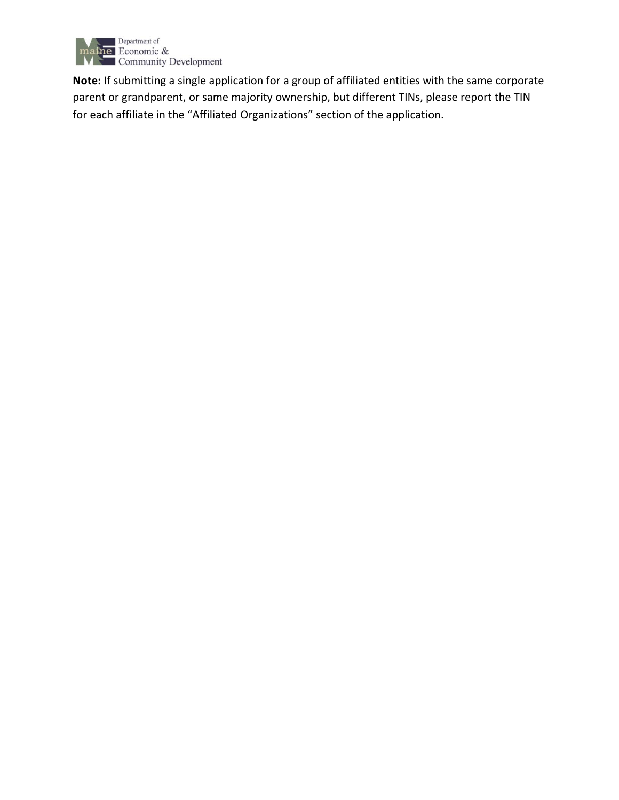

**Note:** If submitting a single application for a group of affiliated entities with the same corporate parent or grandparent, or same majority ownership, but different TINs, please report the TIN for each affiliate in the "Affiliated Organizations" section of the application.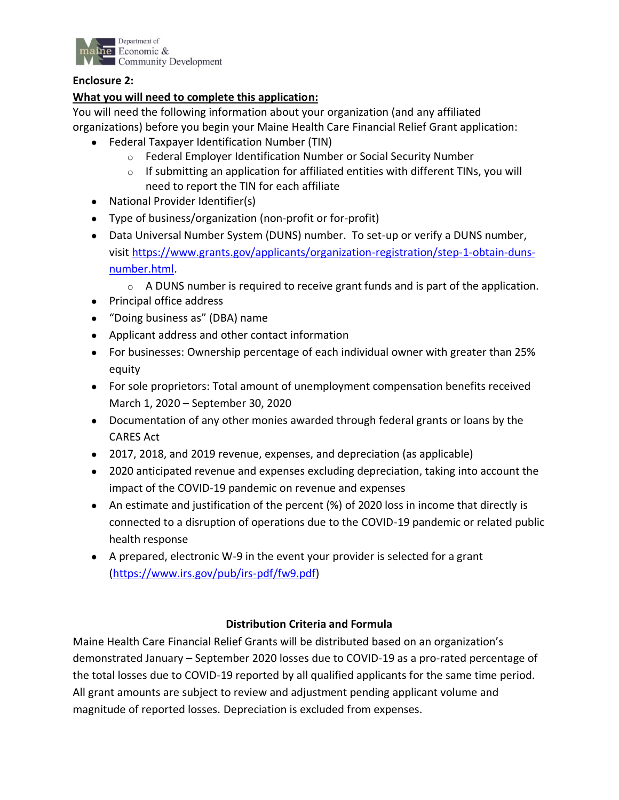

#### **Enclosure 2:**

## **What you will need to complete this application:**

You will need the following information about your organization (and any affiliated organizations) before you begin your Maine Health Care Financial Relief Grant application:

- Federal Taxpayer Identification Number (TIN)
	- o Federal Employer Identification Number or Social Security Number
	- $\circ$  If submitting an application for affiliated entities with different TINs, you will need to report the TIN for each affiliate
- National Provider Identifier(s)
- Type of business/organization (non-profit or for-profit)
- Data Universal Number System (DUNS) number. To set-up or verify a DUNS number, visit [https://www.grants.gov/applicants/organization-registration/step-1-obtain-duns](https://urldefense.proofpoint.com/v2/url?u=https-3A__www.grants.gov_applicants_organization-2Dregistration_step-2D1-2Dobtain-2Dduns-2Dnumber.html&d=DwMFAg&c=WO-RGvefibhHBZq3fL85hQ&r=umgeq9-_MG6HnYCaDyNnNLwrDfx_-OAo120aIEsRu_8&m=E-S8jFm2s8jQ9AtaAdMoiSBHN1X1zsN8pFU6D6NNfHw&s=1g6r9VegQe7pDOxeE-ceZJeo2OSeOxC6bc_Bm93WPJU&e=)[number.html.](https://urldefense.proofpoint.com/v2/url?u=https-3A__www.grants.gov_applicants_organization-2Dregistration_step-2D1-2Dobtain-2Dduns-2Dnumber.html&d=DwMFAg&c=WO-RGvefibhHBZq3fL85hQ&r=umgeq9-_MG6HnYCaDyNnNLwrDfx_-OAo120aIEsRu_8&m=E-S8jFm2s8jQ9AtaAdMoiSBHN1X1zsN8pFU6D6NNfHw&s=1g6r9VegQe7pDOxeE-ceZJeo2OSeOxC6bc_Bm93WPJU&e=)
	- $\circ$  A DUNS number is required to receive grant funds and is part of the application.
- Principal office address
- "Doing business as" (DBA) name
- Applicant address and other contact information
- For businesses: Ownership percentage of each individual owner with greater than 25% equity
- For sole proprietors: Total amount of unemployment compensation benefits received March 1, 2020 – September 30, 2020
- Documentation of any other monies awarded through federal grants or loans by the CARES Act
- 2017, 2018, and 2019 revenue, expenses, and depreciation (as applicable)
- 2020 anticipated revenue and expenses excluding depreciation, taking into account the impact of the COVID-19 pandemic on revenue and expenses
- An estimate and justification of the percent (%) of 2020 loss in income that directly is connected to a disruption of operations due to the COVID-19 pandemic or related public health response
- A prepared, electronic W-9 in the event your provider is selected for a grant [\(https://www.irs.gov/pub/irs-pdf/fw9.pdf\)](https://www.irs.gov/pub/irs-pdf/fw9.pdf)

### **Distribution Criteria and Formula**

Maine Health Care Financial Relief Grants will be distributed based on an organization's demonstrated January – September 2020 losses due to COVID-19 as a pro-rated percentage of the total losses due to COVID-19 reported by all qualified applicants for the same time period. All grant amounts are subject to review and adjustment pending applicant volume and magnitude of reported losses. Depreciation is excluded from expenses.